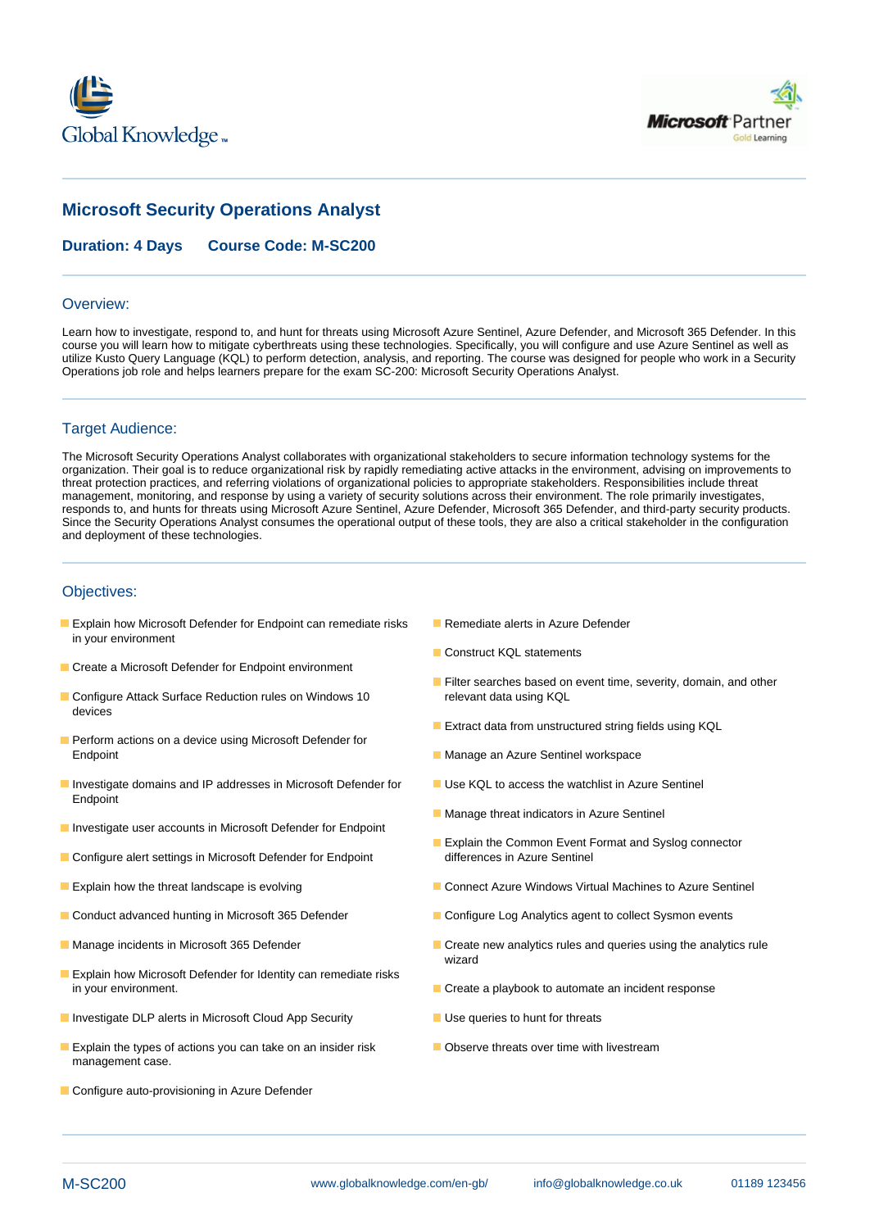



# **Microsoft Security Operations Analyst**

**Duration: 4 Days Course Code: M-SC200**

### Overview:

Learn how to investigate, respond to, and hunt for threats using Microsoft Azure Sentinel, Azure Defender, and Microsoft 365 Defender. In this course you will learn how to mitigate cyberthreats using these technologies. Specifically, you will configure and use Azure Sentinel as well as utilize Kusto Query Language (KQL) to perform detection, analysis, and reporting. The course was designed for people who work in a Security Operations job role and helps learners prepare for the exam SC-200: Microsoft Security Operations Analyst.

## Target Audience:

The Microsoft Security Operations Analyst collaborates with organizational stakeholders to secure information technology systems for the organization. Their goal is to reduce organizational risk by rapidly remediating active attacks in the environment, advising on improvements to threat protection practices, and referring violations of organizational policies to appropriate stakeholders. Responsibilities include threat management, monitoring, and response by using a variety of security solutions across their environment. The role primarily investigates, responds to, and hunts for threats using Microsoft Azure Sentinel, Azure Defender, Microsoft 365 Defender, and third-party security products. Since the Security Operations Analyst consumes the operational output of these tools, they are also a critical stakeholder in the configuration and deployment of these technologies.

### Objectives:

- **Explain how Microsoft Defender for Endpoint can remediate risks Remediate alerts in Azure Defender** in your environment
- Create a Microsoft Defender for Endpoint environment
- Configure Attack Surface Reduction rules on Windows 10 relevant data using KQL devices
- **Perform actions on a device using Microsoft Defender for** Endpoint **Manage an Azure Sentinel workspace** Manage an Azure Sentinel workspace
- Investigate domains and IP addresses in Microsoft Defender for Use KQL to access the watchlist in Azure Sentinel Endpoint
- **Investigate user accounts in Microsoft Defender for Endpoint**
- Configure alert settings in Microsoft Defender for Endpoint
- 
- 
- 
- **Explain how Microsoft Defender for Identity can remediate risks** in your environment. Create a playbook to automate an incident response
- **Investigate DLP alerts in Microsoft Cloud App Security Interest Accepted Accepts** Use queries to hunt for threats
- **Explain the types of actions you can take on an insider risk Community Conserve threats over time with livestream** management case.
- Configure auto-provisioning in Azure Defender
- 
- Construct KQL statements
- **Filter searches based on event time, severity, domain, and other**
- **Extract data from unstructured string fields using KQL**
- 
- 
- **Manage threat indicators in Azure Sentinel**
- **Explain the Common Event Format and Syslog connector differences in Azure Sentinel**
- **Explain how the threat landscape is evolving Connect Azure Windows Virtual Machines to Azure Sentinel** Connect Azure Windows Virtual Machines to Azure Sentinel
- Conduct advanced hunting in Microsoft 365 Defender Configure Log Analytics agent to collect Sysmon events
- Manage incidents in Microsoft 365 Defender Create new analytics rules and queries using the analytics rule wizard
	-
	-
	-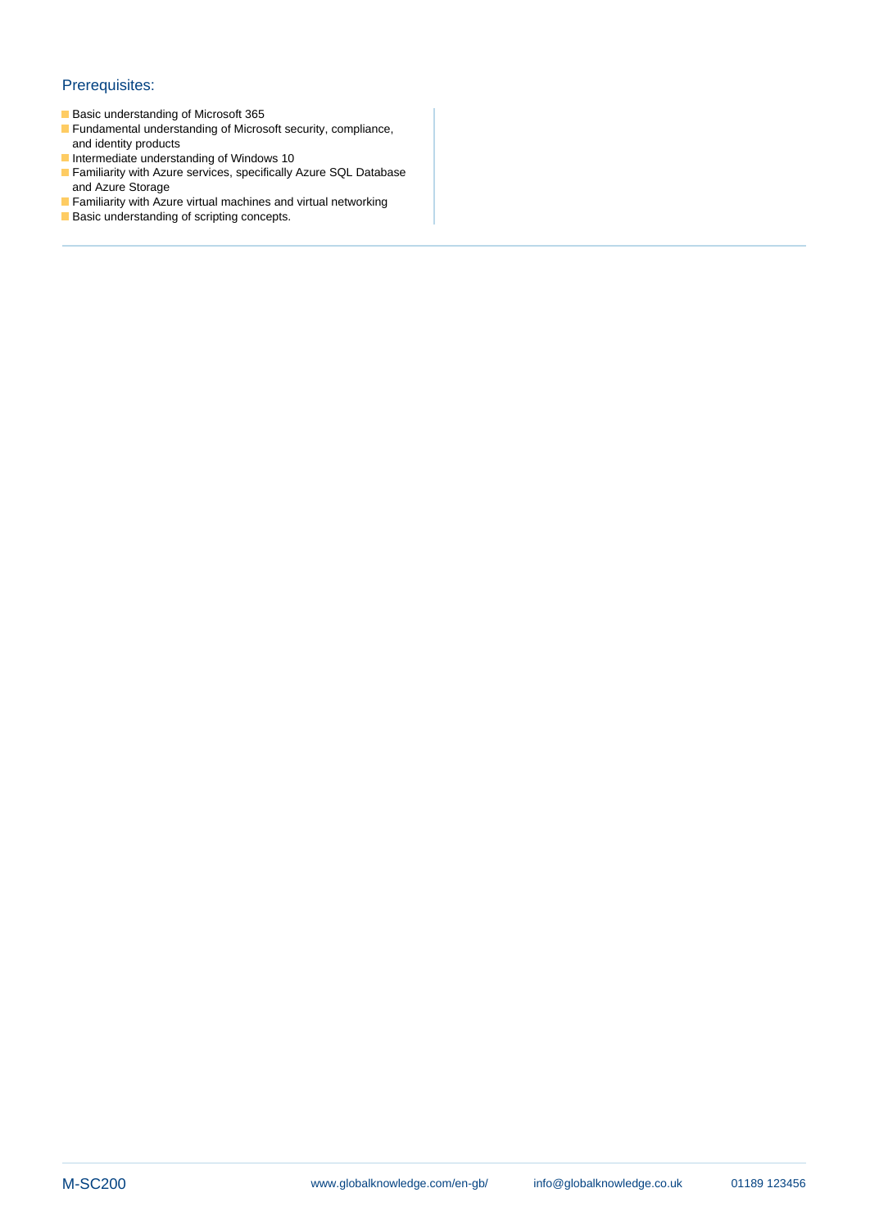## Prerequisites:

- Basic understanding of Microsoft 365
- **Fundamental understanding of Microsoft security, compliance,** and identity products
- Intermediate understanding of Windows 10
- Familiarity with Azure services, specifically Azure SQL Database and Azure Storage
- **Familiarity with Azure virtual machines and virtual networking**
- **Basic understanding of scripting concepts.**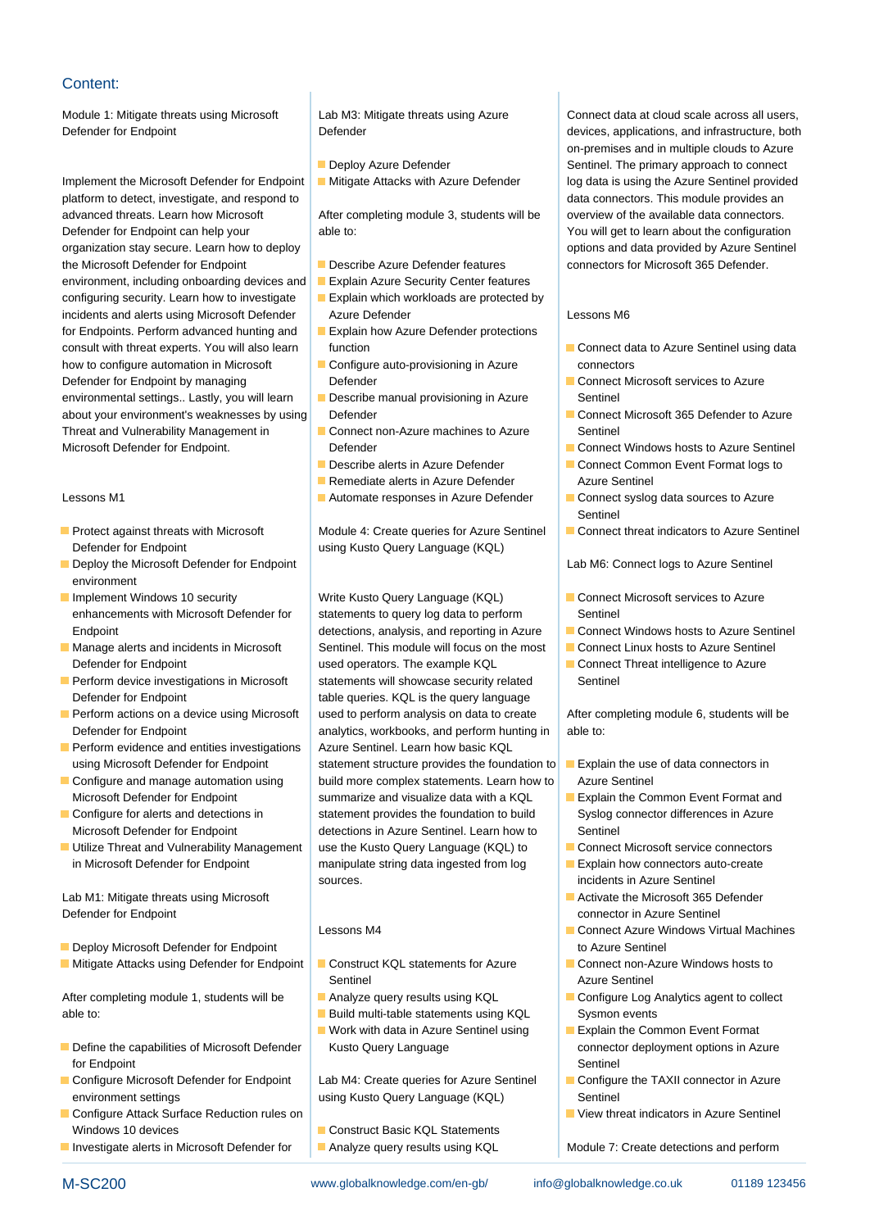## Content:

platform to detect, investigate, and respond to detect and respond to data connectors. This module provides an advanced threats. Learn how Microsoft After completing module 3, students will be overview of the available data connectors. Defender for Endpoint can help your able to: able to: You will get to learn about the configuration organization stay secure. Learn how to deploy line options and data provided by Azure Sentinel the Microsoft Defender for Endpoint **Describe Azure Defender features** connectors for Microsoft 365 Defender. environment, including onboarding devices and **Explain Azure Security Center features** configuring security. Learn how to investigate  $\Box$  Explain which workloads are protected by incidents and alerts using Microsoft Defender Azure Defender Azure Chemical Lessons M6 for Endpoints. Perform advanced hunting and **Explain how Azure Defender protections** consult with threat experts. You will also learn function consult Connect data to Azure Sentinel using data how to configure automation in Microsoft Configure auto-provisioning in Azure connectors Defender for Endpoint by managing Defender Connect Microsoft services to Azure environmental settings.. Lastly, you will learn **Describe manual provisioning in Azure** Sentinel about your environment's weaknesses by using Defender Connect Microsoft 365 Defender to Azure Threat and Vulnerability Management in **Connect non-Azure machines to Azure** Sentinel Microsoft Defender for Endpoint. **Defender** Connect Windows hosts to Azure Sentinel

- Defender for Endpoint **Defender for Endpoint** using Kusto Query Language (KQL)
- **Deploy the Microsoft Defender for Endpoint line Lab M6: Connect logs to Azure Sentine line Lab M6: Connect logs to Azure Sentinel** environment
- 
- 
- Defender for Endpoint table queries. KQL is the query language
- 
- Perform evidence and entities investigations  $\parallel$  Azure Sentinel. Learn how basic KQL
- 
- 
- Utilize Threat and Vulnerability Management use the Kusto Query Language (KQL) to Connect Microsoft service connectors

Lab M1: Mitigate threats using Microsoft line Activate the Microsoft 365 Defender Defender for Endpoint **Connection** Connector in Azure Sentinel

- **Deploy Microsoft Defender for Endpoint line to Azure Sentinel and Theoretic Azure Sentinel dependent of Azure Sentinel**
- Mitigate Attacks using Defender for Endpoint Construct KQL statements for Azure Connect non-Azure Windows hosts to

able to: **Build multi-table statements using KQL** Sysmon events

- Define the capabilities of Microsoft Defender Kusto Query Language connector deployment options in Azure for Endpoint Sentinel And The Contract of the Sentinel Sentinel Sentinel Sentinel Sentinel Sentinel Sentinel Se
- environment settings and the setting using Kusto Query Language (KQL) Sentinel
- **Configure Attack Surface Reduction rules on line view to view threat indicators in Azure Sentinel** Windows 10 devices **Construct Basic KQL Statements**
- Investigate alerts in Microsoft Defender for Analyze query results using KQL Module 7: Create detections and perform

- 
- 

- 
- 
- 
- 
- 
- 
- 
- 
- Remediate alerts in Azure Defender **Azure Sentinel**
- 

enhancements with Microsoft Defender for statements to query log data to perform Sentinel Endpoint **Endpoint Endpoint** detections, analysis, and reporting in Azure **Connect Windows hosts to Azure Sentinel** Manage alerts and incidents in Microsoft Sentinel. This module will focus on the most **Connect Linux hosts to Azure Sentinel** Defender for Endpoint **used operators.** The example KQL **Connect Threat intelligence to Azure**  $\blacksquare$  Perform device investigations in Microsoft statements will showcase security related Sentinel Perform actions on a device using Microsoft used to perform analysis on data to create After completing module 6, students will be Defender for Endpoint **analytics**, workbooks, and perform hunting in able to: using Microsoft Defender for Endpoint statement structure provides the foundation to Explain the use of data connectors in Configure and manage automation using build more complex statements. Learn how to Azure Sentinel Microsoft Defender for Endpoint summarize and visualize data with a KQL Explain the Common Event Format and Configure for alerts and detections in statement provides the foundation to build Syslog connector differences in Azure Microsoft Defender for Endpoint detections in Azure Sentinel. Learn how to Sentinel in Microsoft Defender for Endpoint manipulate string data ingested from log **Explain how connectors auto-create** sources. **incidents in Azure Sentinel** 

- Sentinel Azure Sentinel
- 
- Work with data in Azure Sentinel using **Explain the Common Event Format**
- 

Configure Microsoft Defender for Endpoint Lab M4: Create queries for Azure Sentinel Configure the TAXII connector in Azure

Module 1: Mitigate threats using Microsoft Lab M3: Mitigate threats using Azure Connect data at cloud scale across all users, Defender for Endpoint **Defender** Defender **Defender** devices, applications, and infrastructure, both on-premises and in multiple clouds to Azure Deploy Azure Defender Sentinel. The primary approach to connect Implement the Microsoft Defender for Endpoint | Mitigate Attacks with Azure Defender | log data is using the Azure Sentinel provided

- 
- 
- 
- 
- **Describe alerts in Azure Defender Connect Common Event Format logs to**
- Lessons M1 **Automate responses in Azure Defender** Connect syslog data sources to Azure line Sentinel Sentinel Sentinel Sentinel Sentinel Sentinel Sentinel Sentinel Sentinel Sentinel Sentinel Sentinel
- **Protect against threats with Microsoft** Module 4: Create queries for Azure Sentinel **Connect threat indicators to Azure Sentinel**

- Implement Windows 10 security Write Kusto Query Language (KQL) Connect Microsoft services to Azure
	-
	-
	-

- 
- 
- 
- 
- 
- Lessons M4 **Connect Azure Windows Virtual Machines** 
	-
- After completing module 1, students will be Analyze query results using KQL Configure Log Analytics agent to collect
	-
	-
	-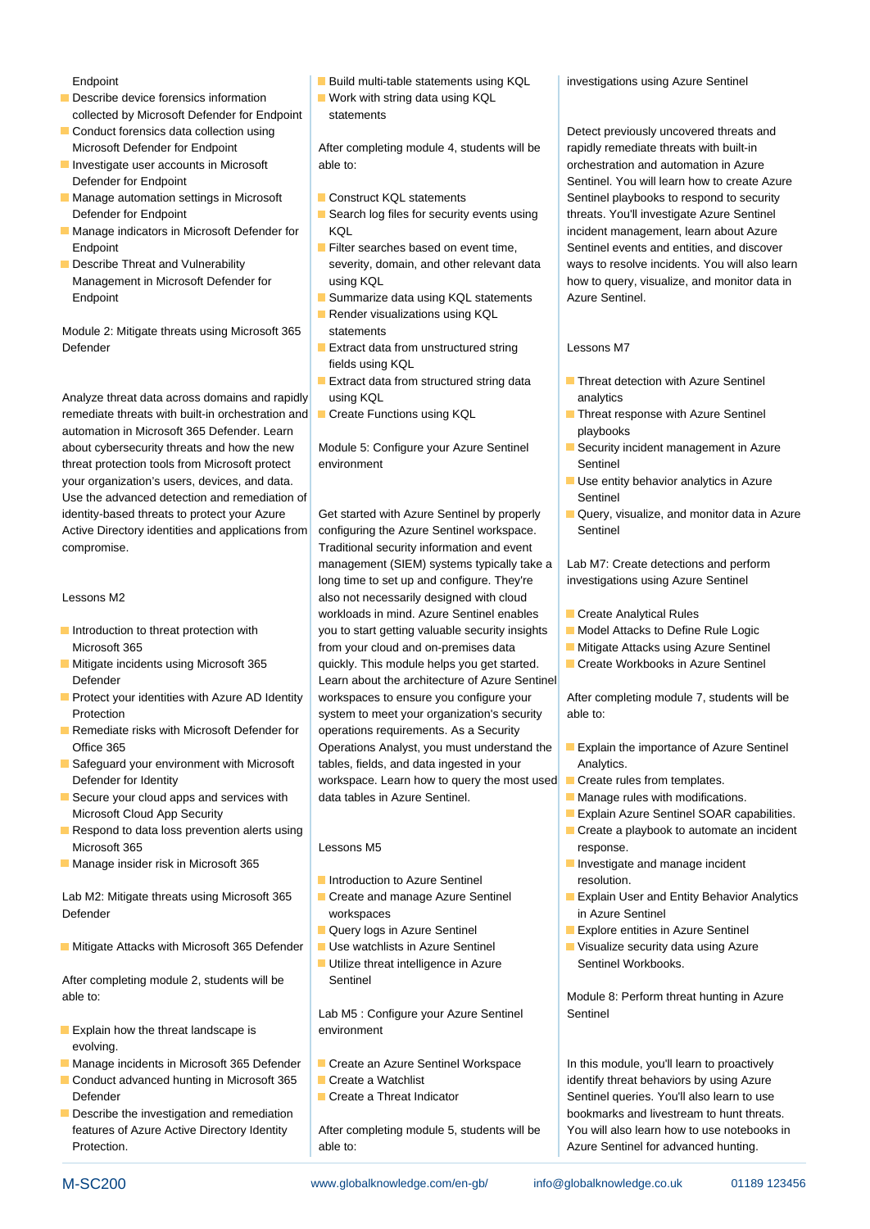- Describe device forensics information  $\blacksquare$  Work with string data using KQL collected by Microsoft Defender for Endpoint statements
- Conduct forensics data collection using Detect previously uncovered threats and
- 
- Manage automation settings in Microsoft | Construct KQL statements Sentinel playbooks to respond to security
- Manage indicators in Microsoft Defender for KQL incident management, learn about Azure Endpoint Filter searches based on event time, Sentinel events and entities, and discover
- 

Module 2: Mitigate threats using Microsoft 365 statements Defender **Extract data from unstructured string** Lessons M7

remediate threats with built-in orchestration and Create Functions using KQL Threat response with Azure Sentinel automation in Microsoft 365 Defender. Learn playbooks and playbooks and playbooks and playbooks about cybersecurity threats and how the new | Module 5: Configure your Azure Sentinel | Security incident management in Azure threat protection tools from Microsoft protect environment Sentinel Sentinel your organization's users, devices, and data. | state of the Use entity behavior analytics in Azure Use the advanced detection and remediation of Sentinel Sentinel Sentinel Sentinel identity-based threats to protect your Azure Get started with Azure Sentinel by properly **Query**, visualize, and monitor data in Azure Active Directory identities and applications from configuring the Azure Sentinel workspace. Sentinel compromise. Traditional security information and event

- 
- 
- **Protect your identities with Azure AD Identity workspaces to ensure you configure your After completing module 7, students will be**
- Remediate risks with Microsoft Defender for  $\parallel$  operations requirements. As a Security
- 
- 
- **Respond to data loss prevention alerts using a create a playbook to automate an incident** Respond to data loss prevention alerts using Microsoft 365 **Response.** Lessons M5 **Lessons M5 response.**
- **Manage insider risk in Microsoft 365 and 11 and 12 and 12 and 12 and 12 and 12 and 12 and 12 and 13 and 13 and 13 and 13 and 13 and 13 and 13 and 13 and 13 and 13 and 13 and 13 and 13 and 13 and 13 and 13 and 13 and 13**

Defender and the contract of the workspaces of the contract of the contract of the contract of the contract of the contract of the contract of the contract of the contract of the contract of the contract of the contract of

Mitigate Attacks with Microsoft 365 Defender Use watchlists in Azure Sentinel Visualize security data using Azure

After completing module 2, students will be Sentinel able to: **Module 8: Perform threat hunting in Azure Module 8: Perform threat hunting in Azure** 

- Explain how the threat landscape is  $\blacksquare$  Explain how the threat landscape is evolving.
- Manage incidents in Microsoft 365 Defender **Create an Azure Sentinel Workspace** In this module, you'll learn to proactively
- Conduct advanced hunting in Microsoft 365 Create a Watchlist Create in Conduct advanced hunting in Microsoft 365 Create a Watchlist Defender Create a Threat Indicator Create a Threat Indicator Sentinel queries. You'll also learn to use
- Describe the investigation and remediation bookmarks and livestream to hunt threats. Protection. **Actual to:** Azure Sentinel for advanced hunting.

Endpoint **Build multi-table statements using KQL** investigations using Azure Sentinel

Microsoft Defender for Endpoint **After completing module 4, students will be** rapidly remediate threats with built-in Investigate user accounts in Microsoft able to: orchestration and automation in Azure

- 
- Defender for Endpoint Search log files for security events using threats. You'll investigate Azure Sentinel
	-
- Endpoint Summarize data using KQL statements Azure Sentinel.
	- $\blacksquare$  Render visualizations using KQL
	- fields using KQL
- Analyze threat data across domains and rapidly using KQL analytics analytics
	-

management (SIEM) systems typically take a  $\vert$  Lab M7: Create detections and perform long time to set up and configure. They're | investigations using Azure Sentinel Lessons M2 also not necessarily designed with cloud workloads in mind. Azure Sentinel enables | Create Analytical Rules ■ Introduction to threat protection with you to start getting valuable security insights Model Attacks to Define Rule Logic Microsoft 365 **from your cloud and on-premises data** Mitigate Attacks using Azure Sentinel Mitigate incidents using Microsoft 365 quickly. This module helps you get started. Create Workbooks in Azure Sentinel Defender Learn about the architecture of Azure Sentinel Protection system to meet your organization's security able to: Office 365 **Operations Analyst, you must understand the Explain the importance of Azure Sentinel** Safeguard your environment with Microsoft | tables, fields, and data ingested in your | Analytics. Defender for Identity **Exercise 20 Telecommunity** workspace. Learn how to query the most used **Create rules from templates.** Secure your cloud apps and services with data tables in Azure Sentinel. Manage rules with modifications.

- Introduction to Azure Sentinel **Fig. 1** resolution.
- 
- 
- Utilize threat intelligence in Azure **Sentinel Workbooks.**

Lab M5 : Configure your Azure Sentinel Sentinel

- 
- 
- 

Defender for Endpoint and Sentinel. You will learn how to create Azure Describe Threat and Vulnerability severity, domain, and other relevant data ways to resolve incidents. You will also learn Management in Microsoft Defender for using KQL how to query, visualize, and monitor data in

- **Extract data from structured string data** Threat detection with Azure Sentinel
	-
	-
	-
	-

- 
- 
- 
- 

- 
- 
- 
- Microsoft Cloud App Security line Explain Azure Sentinel SOAR capabilities.
	-
	-
- Lab M2: Mitigate threats using Microsoft 365 Create and manage Azure Sentinel Explain User and Entity Behavior Analytics
	- **Explore entities in Azure Sentinel Explore entities in Azure Sentinel** 
		-

features of Azure Active Directory Identity After completing module 5, students will be You will also learn how to use notebooks in